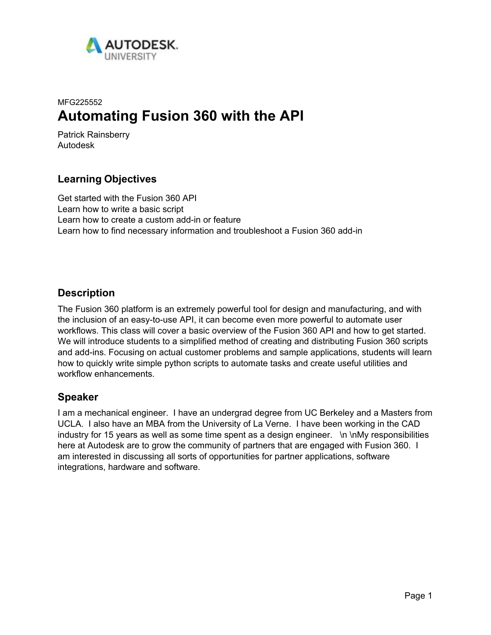

# MFG225552 **Automating Fusion 360 with the API**

Patrick Rainsberry Autodesk

# **Learning Objectives**

Get started with the Fusion 360 API Learn how to write a basic script Learn how to create a custom add-in or feature Learn how to find necessary information and troubleshoot a Fusion 360 add-in

# **Description**

The Fusion 360 platform is an extremely powerful tool for design and manufacturing, and with the inclusion of an easy-to-use API, it can become even more powerful to automate user workflows. This class will cover a basic overview of the Fusion 360 API and how to get started. We will introduce students to a simplified method of creating and distributing Fusion 360 scripts and add-ins. Focusing on actual customer problems and sample applications, students will learn how to quickly write simple python scripts to automate tasks and create useful utilities and workflow enhancements.

# **Speaker**

I am a mechanical engineer. I have an undergrad degree from UC Berkeley and a Masters from UCLA. I also have an MBA from the University of La Verne. I have been working in the CAD industry for 15 years as well as some time spent as a design engineer. \n \nMy responsibilities here at Autodesk are to grow the community of partners that are engaged with Fusion 360. I am interested in discussing all sorts of opportunities for partner applications, software integrations, hardware and software.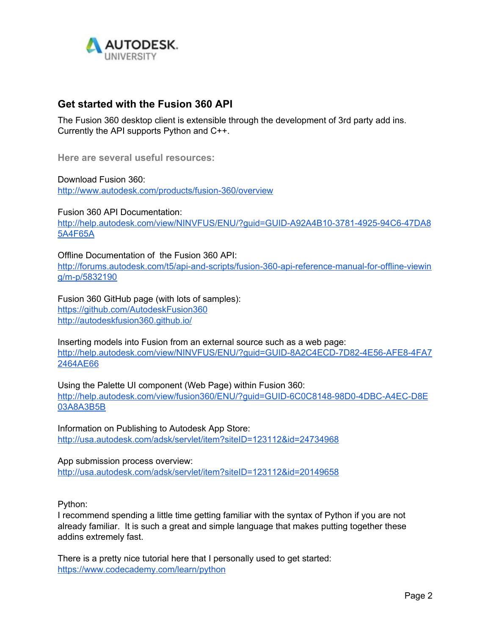

# **Get started with the Fusion 360 API**

The Fusion 360 desktop client is extensible through the development of 3rd party add ins. Currently the API supports Python and C++.

**Here are several useful resources:**

Download Fusion 360: <http://www.autodesk.com/products/fusion-360/overview>

Fusion 360 API Documentation: [http://help.autodesk.com/view/NINVFUS/ENU/?guid=GUID-A92A4B10-3781-4925-94C6-47DA8](http://help.autodesk.com/view/NINVFUS/ENU/?guid=GUID-A92A4B10-3781-4925-94C6-47DA85A4F65A) [5A4F65A](http://help.autodesk.com/view/NINVFUS/ENU/?guid=GUID-A92A4B10-3781-4925-94C6-47DA85A4F65A)

Offline Documentation of the Fusion 360 API:

[http://forums.autodesk.com/t5/api-and-scripts/fusion-360-api-reference-manual-for-offline-viewin](http://forums.autodesk.com/t5/api-and-scripts/fusion-360-api-reference-manual-for-offline-viewing/m-p/5832190) [g/m-p/5832190](http://forums.autodesk.com/t5/api-and-scripts/fusion-360-api-reference-manual-for-offline-viewing/m-p/5832190)

Fusion 360 GitHub page (with lots of samples): <https://github.com/AutodeskFusion360> <http://autodeskfusion360.github.io/>

Inserting models into Fusion from an external source such as a web page: [http://help.autodesk.com/view/NINVFUS/ENU/?guid=GUID-8A2C4ECD-7D82-4E56-AFE8-4FA7](http://help.autodesk.com/view/NINVFUS/ENU/?guid=GUID-8A2C4ECD-7D82-4E56-AFE8-4FA72464AE66) [2464AE66](http://help.autodesk.com/view/NINVFUS/ENU/?guid=GUID-8A2C4ECD-7D82-4E56-AFE8-4FA72464AE66)

Using the Palette UI component (Web Page) within Fusion 360: [http://help.autodesk.com/view/fusion360/ENU/?guid=GUID-6C0C8148-98D0-4DBC-A4EC-D8E](http://help.autodesk.com/view/fusion360/ENU/?guid=GUID-6C0C8148-98D0-4DBC-A4EC-D8E03A8A3B5B) [03A8A3B5B](http://help.autodesk.com/view/fusion360/ENU/?guid=GUID-6C0C8148-98D0-4DBC-A4EC-D8E03A8A3B5B)

Information on Publishing to Autodesk App Store: <http://usa.autodesk.com/adsk/servlet/item?siteID=123112&id=24734968>

App submission process overview: <http://usa.autodesk.com/adsk/servlet/item?siteID=123112&id=20149658>

Python:

I recommend spending a little time getting familiar with the syntax of Python if you are not already familiar. It is such a great and simple language that makes putting together these addins extremely fast.

There is a pretty nice tutorial here that I personally used to get started: <https://www.codecademy.com/learn/python>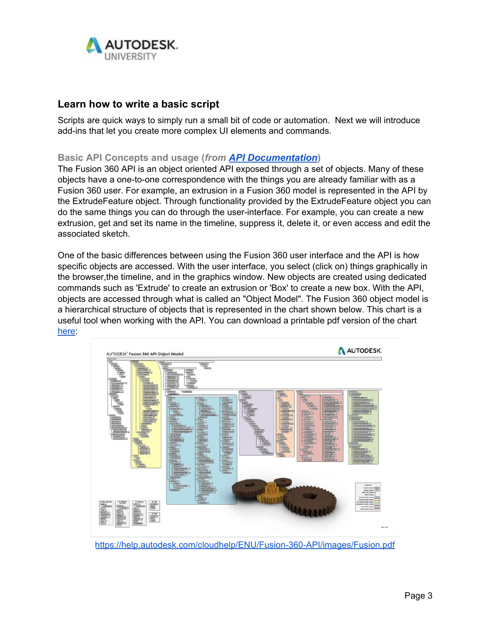

# **Learn how to write a basic script**

Scripts are quick ways to simply run a small bit of code or automation. Next we will introduce add-ins that let you create more complex UI elements and commands.

### **Basic API Concepts and usage (***from [API Documentation](https://help.autodesk.com/view/fusion360/ENU/?guid=GUID-D93DF10F-4209-4073-A2A0-4FA8788C8709)***)**

The Fusion 360 API is an object oriented API exposed through a set of objects. Many of these objects have a one-to-one correspondence with the things you are already familiar with as a Fusion 360 user. For example, an extrusion in a Fusion 360 model is represented in the API by the ExtrudeFeature object. Through functionality provided by the ExtrudeFeature object you can do the same things you can do through the user-interface. For example, you can create a new extrusion, get and set its name in the timeline, suppress it, delete it, or even access and edit the associated sketch.

One of the basic differences between using the Fusion 360 user interface and the API is how specific objects are accessed. With the user interface, you select (click on) things graphically in the browser,the timeline, and in the graphics window. New objects are created using dedicated commands such as 'Extrude' to create an extrusion or 'Box' to create a new box. With the API, objects are accessed through what is called an "Object Model". The Fusion 360 object model is a hierarchical structure of objects that is represented in the chart shown below. This chart is a useful tool when working with the API. You can download a printable pdf version of the chart [here](https://help.autodesk.com/cloudhelp/ENU/Fusion-360-API/images/Fusion.pdf):



<https://help.autodesk.com/cloudhelp/ENU/Fusion-360-API/images/Fusion.pdf>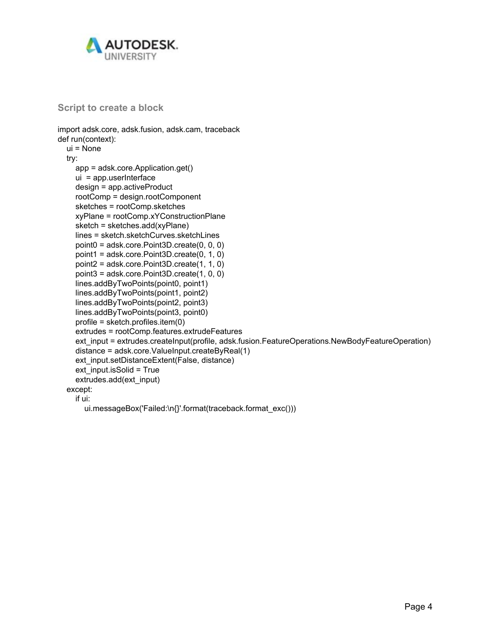

**Script to create a block**

```
import adsk.core, adsk.fusion, adsk.cam, traceback
def run(context):
  ui = None
  try:
    app = adsk.core.Application.get()
    ui = app.userInterface
    design = app.activeProduct
    rootComp = design.rootComponent
    sketches = rootComp.sketches
    xyPlane = rootComp.xYConstructionPlane
    sketch = sketches.add(xyPlane)
    lines = sketch.sketchCurves.sketchLines
    point0 = adsk.core.Point3D.create(0, 0, 0)
    point1 = adsk.core.Point3D.create(0, 1, 0)
    point2 = adsk.core.Point3D.create(1, 1, 0)
    point3 = adsk.core.Point3D.create(1, 0, 0)
    lines.addByTwoPoints(point0, point1)
    lines.addByTwoPoints(point1, point2)
    lines.addByTwoPoints(point2, point3)
    lines.addByTwoPoints(point3, point0)
    profile = sketch.profiles.item(0)
    extrudes = rootComp.features.extrudeFeatures
    ext_input = extrudes.createInput(profile, adsk.fusion.FeatureOperations.NewBodyFeatureOperation)
    distance = adsk.core.ValueInput.createByReal(1)
    ext_input.setDistanceExtent(False, distance)
    ext_input.isSolid = True
    extrudes.add(ext_input)
  except:
    if ui:
```
ui.messageBox('Failed:\n{}'.format(traceback.format\_exc()))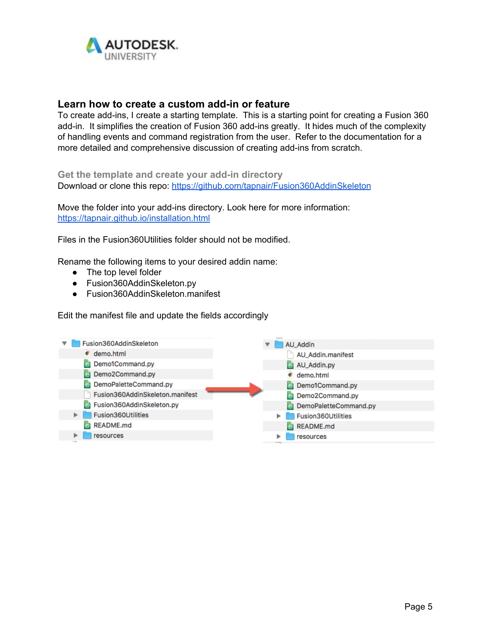

## **Learn how to create a custom add-in or feature**

To create add-ins, I create a starting template. This is a starting point for creating a Fusion 360 add-in. It simplifies the creation of Fusion 360 add-ins greatly. It hides much of the complexity of handling events and command registration from the user. Refer to the documentation for a more detailed and comprehensive discussion of creating add-ins from scratch.

**Get the template and create your add-in directory** Download or clone this repo: <https://github.com/tapnair/Fusion360AddinSkeleton>

Move the folder into your add-ins directory. Look here for more information: <https://tapnair.github.io/installation.html>

Files in the Fusion360Utilities folder should not be modified.

Rename the following items to your desired addin name:

- The top level folder
- Fusion360AddinSkeleton.py
- Fusion360AddinSkeleton.manifest

Edit the manifest file and update the fields accordingly

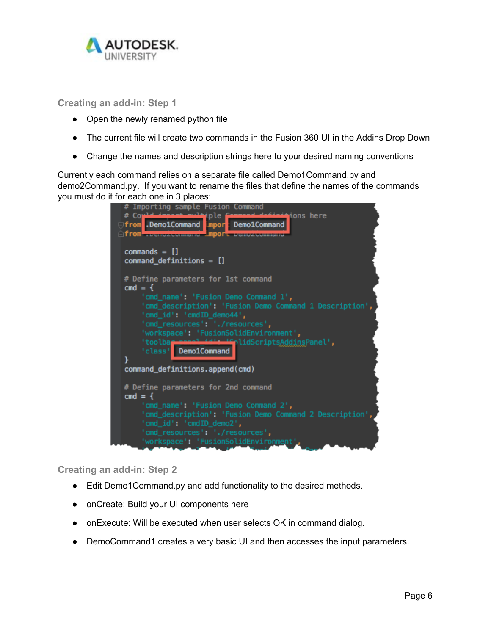

**Creating an add-in: Step 1**

- Open the newly renamed python file
- The current file will create two commands in the Fusion 360 UI in the Addins Drop Down
- Change the names and description strings here to your desired naming conventions

Currently each command relies on a separate file called Demo1Command.py and demo2Command.py. If you want to rename the files that define the names of the commands you must do it for each one in 3 places:

| Importing sample Fusion Command                                                                                                                                                                                                                                           |
|---------------------------------------------------------------------------------------------------------------------------------------------------------------------------------------------------------------------------------------------------------------------------|
| $#$ Coul<br><b>tions here</b><br>tiple fam<br><b>University of From Second Demoschmand</b><br>A From Prognozacommento ADOPE Demozacommento                                                                                                                                |
| $commands = []$<br>$command\_definitions = []$                                                                                                                                                                                                                            |
| # Define parameters for 1st command<br>$cmd = 4$                                                                                                                                                                                                                          |
| 'cmd_name': 'Fusion Demo Command 1',<br>'cmd_description': 'Fusion Demo Command 1 Description',<br>'cmd_id': 'cmdID_demo44',<br>'cmd_resources': './resources',<br>'workspace': 'FusionSolidEnvironment',<br>l idScriptsAddinsPanel',<br>'toolbar<br>'class' Demo1Command |
| command_definitions.append(cmd)                                                                                                                                                                                                                                           |
| # Define parameters for 2nd command<br>$cmd = {$                                                                                                                                                                                                                          |
| 'cmd_name': 'Fusion Demo Command 2',<br>'cmd_description': 'Fusion Demo Command 2 Description',<br>'cmd_id': 'cmdID_demo2',<br>'cmd_resources': './resources',                                                                                                            |
| 'workspace': 'FusionSolidEnvironment',                                                                                                                                                                                                                                    |

**Creating an add-in: Step 2**

- Edit Demo1Command.py and add functionality to the desired methods.
- onCreate: Build your UI components here
- onExecute: Will be executed when user selects OK in command dialog.
- DemoCommand1 creates a very basic UI and then accesses the input parameters.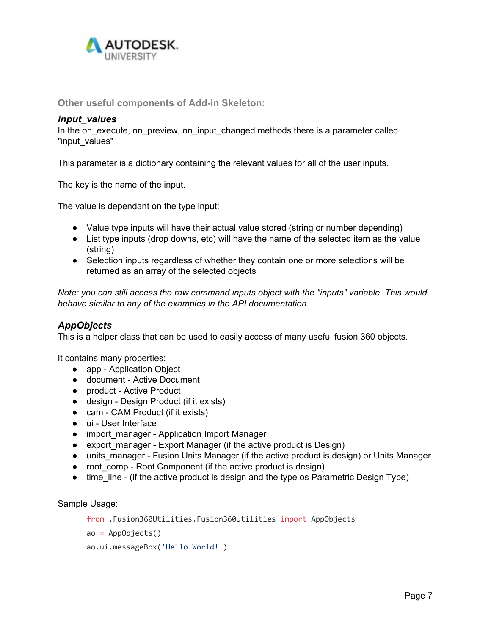

**Other useful components of Add-in Skeleton:**

#### *input\_values*

In the on\_execute, on\_preview, on\_input\_changed methods there is a parameter called "input\_values"

This parameter is a dictionary containing the relevant values for all of the user inputs.

The key is the name of the input.

The value is dependant on the type input:

- Value type inputs will have their actual value stored (string or number depending)
- List type inputs (drop downs, etc) will have the name of the selected item as the value (string)
- Selection inputs regardless of whether they contain one or more selections will be returned as an array of the selected objects

*Note: you can still access the raw command inputs object with the "inputs" variable. This would behave similar to any of the examples in the API documentation.*

# *AppObjects*

This is a helper class that can be used to easily access of many useful fusion 360 objects.

It contains many properties:

- app Application Object
- document Active Document
- product Active Product
- design Design Product (if it exists)
- cam CAM Product (if it exists)
- ui User Interface
- import\_manager Application Import Manager
- export\_manager Export Manager (if the active product is Design)
- units manager Fusion Units Manager (if the active product is design) or Units Manager
- root\_comp Root Component (if the active product is design)
- time line (if the active product is design and the type os Parametric Design Type)

Sample Usage:

```
from .Fusion360Utilities.Fusion360Utilities import AppObjects
```

```
ao = AppObjects()
```

```
ao.ui.messageBox('Hello World!')
```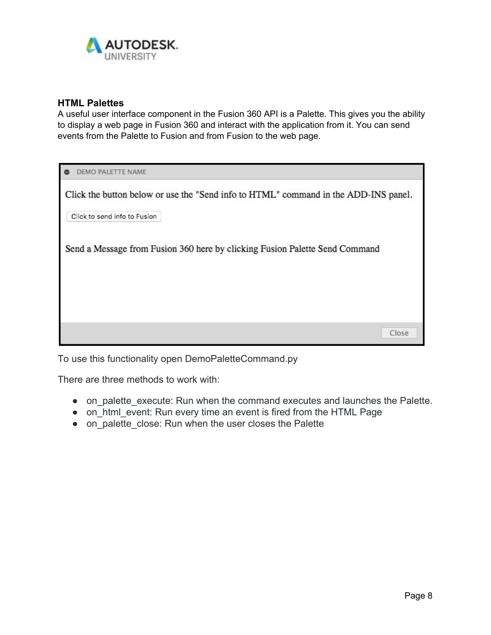

## **HTML Palettes**

A useful user interface component in the Fusion 360 API is a Palette. This gives you the ability to display a web page in Fusion 360 and interact with the application from it. You can send events from the Palette to Fusion and from Fusion to the web page.

| DEMO PALETTE NAME                                                                   |       |  |
|-------------------------------------------------------------------------------------|-------|--|
| Click the button below or use the "Send info to HTML" command in the ADD-INS panel. |       |  |
| Click to send info to Fusion                                                        |       |  |
| Send a Message from Fusion 360 here by clicking Fusion Palette Send Command         |       |  |
|                                                                                     |       |  |
|                                                                                     |       |  |
|                                                                                     |       |  |
|                                                                                     | Close |  |

To use this functionality open DemoPaletteCommand.py

There are three methods to work with:

- on palette execute: Run when the command executes and launches the Palette.
- on html event: Run every time an event is fired from the HTML Page
- on palette close: Run when the user closes the Palette